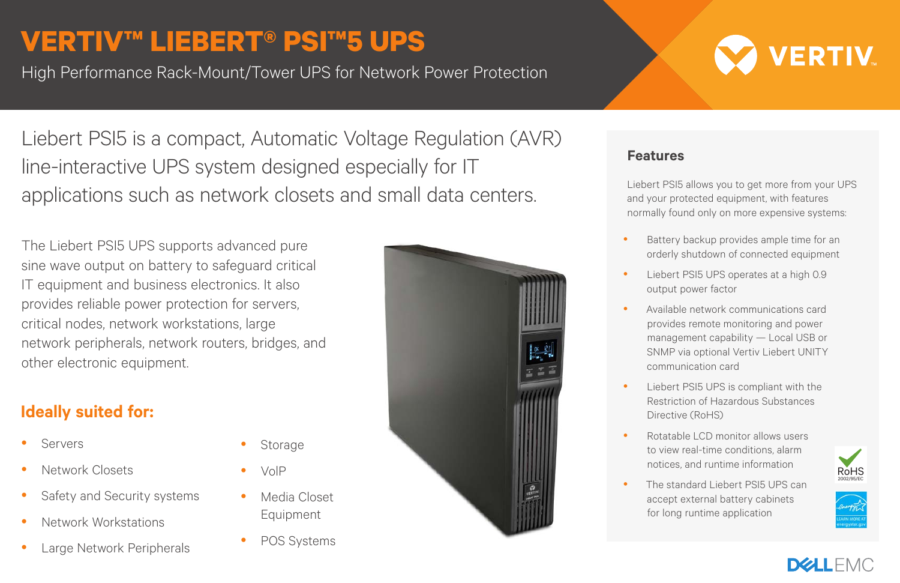## **VERTIV™ LIEBERT® PSI™5 UPS**

High Performance Rack-Mount/Tower UPS for Network Power Protection

Liebert PSI5 is a compact, Automatic Voltage Regulation (AVR) line-interactive UPS system designed especially for IT applications such as network closets and small data centers.

The Liebert PSI5 UPS supports advanced pure sine wave output on battery to safeguard critical IT equipment and business electronics. It also provides reliable power protection for servers, critical nodes, network workstations, large network peripherals, network routers, bridges, and other electronic equipment.

### **Ideally suited for:**

- Servers
- Network Closets
- Safety and Security systems
- Network Workstations
- Large Network Peripherals



#### **Features**

Liebert PSI5 allows you to get more from your UPS and your protected equipment, with features normally found only on more expensive systems:

- Battery backup provides ample time for an orderly shutdown of connected equipment
- Liebert PSI5 UPS operates at a high 0.9 output power factor
- Available network communications card provides remote monitoring and power management capability — Local USB or SNMP via optional Vertiv Liebert UNITY communication card
- Liebert PSI5 UPS is compliant with the Restriction of Hazardous Substances Directive (RoHS)
- Rotatable LCD monitor allows users to view real-time conditions, alarm notices, and runtime information
- The standard Liebert PSI5 UPS can accept external battery cabinets for long runtime application









- VolP
- Media Closet Equipment

Storage

POS Systems